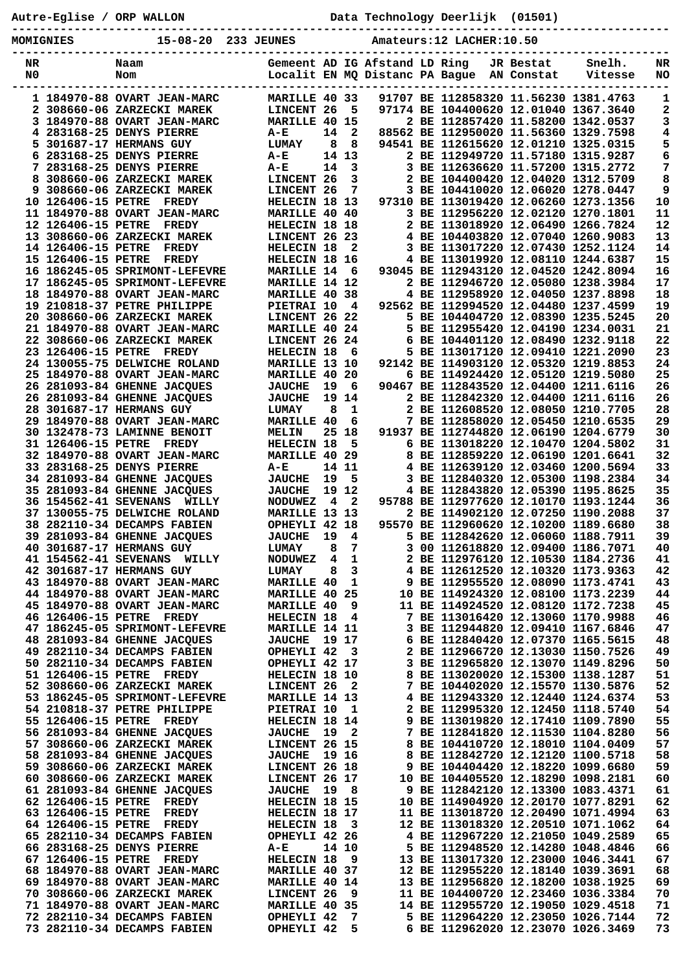**Autre-Eglise / ORP WALLON Data Technology Deerlijk (01501)**

**----------------------------------------------------------------------------------------------- MOMIGNIES 15-08-20 233 JEUNES Amateurs:12 LACHER:10.50**

| NR |                              | Naam                           |                   |    |              | Gemeent AD IG Afstand LD Ring  |                                                                        | JR Bestat  | Snelh.  | NR |
|----|------------------------------|--------------------------------|-------------------|----|--------------|--------------------------------|------------------------------------------------------------------------|------------|---------|----|
| N0 |                              | Nom                            |                   |    |              | Localit EN MQ Distanc PA Bague |                                                                        | AN Constat | Vitesse | NO |
|    |                              |                                |                   |    |              |                                |                                                                        |            |         |    |
|    |                              | 1 184970-88 OVART JEAN-MARC    | MARILLE 40 33     |    |              |                                | 91707 BE 112858320 11.56230 1381.4763                                  |            |         | 1  |
|    |                              | 2 308660-06 ZARZECKI MAREK     | LINCENT 26        |    | 5            |                                | 97174 BE 104400620 12.01040 1367.3640                                  |            |         | 2  |
|    |                              | 3 184970-88 OVART JEAN-MARC    | MARILLE 40 15     |    |              |                                | 2 BE 112857420 11.58200 1342.0537                                      |            |         | 3  |
|    |                              | 4 283168-25 DENYS PIERRE       | $A-E$             | 14 | $\mathbf{2}$ |                                | 88562 BE 112950020 11.56360 1329.7598                                  |            |         | 4  |
|    |                              | <b>5 301687-17 HERMANS GUY</b> | <b>LUMAY</b>      | 8  | 8            |                                | 94541 BE 112615620 12.01210 1325.0315                                  |            |         | 5  |
|    |                              | 6 283168-25 DENYS PIERRE       | A-E               |    | 14 13        |                                | 2 BE 112949720 11.57180 1315.9287                                      |            |         | 6  |
|    |                              | 7 283168-25 DENYS PIERRE       |                   | 14 | 3            |                                | 3 BE 112636620 11.57200 1315.2772                                      |            |         | 7  |
|    |                              |                                | A-E               |    |              |                                |                                                                        |            |         |    |
|    |                              | 8 308660-06 ZARZECKI MAREK     | LINCENT 26        |    | 3            |                                | 2 BE 104400420 12.04020 1312.5709                                      |            |         | 8  |
|    |                              | 9 308660-06 ZARZECKI MAREK     | LINCENT 26        |    | 7            |                                | 3 BE 104410020 12.06020 1278.0447                                      |            |         | 9  |
|    | 10 126406-15 PETRE           | <b>FREDY</b>                   | HELECIN 18 13     |    |              |                                | 97310 BE 113019420 12.06260 1273.1356                                  |            |         | 10 |
|    |                              | 11 184970-88 OVART JEAN-MARC   | MARILLE 40 40     |    |              |                                | 3 BE 112956220 12.02120 1270.1801                                      |            |         | 11 |
|    | 12 126406-15 PETRE           | <b>FREDY</b>                   | HELECIN 18 18     |    |              |                                | 2 BE 113018920 12.06490 1266.7824                                      |            |         | 12 |
|    |                              | 13 308660-06 ZARZECKI MAREK    | LINCENT 26 23     |    |              |                                | 4 BE 104403820 12.07040 1260.9083                                      |            |         | 13 |
|    | 14 126406-15 PETRE           | <b>FREDY</b>                   | HELECIN 18        |    | $\mathbf{2}$ |                                | 3 BE 113017220 12.07430 1252.1124                                      |            |         | 14 |
|    | 15 126406-15 PETRE           | <b>FREDY</b>                   | HELECIN 18 16     |    |              |                                | 4 BE 113019920 12.08110 1244.6387                                      |            |         | 15 |
|    |                              | 16 186245-05 SPRIMONT-LEFEVRE  | <b>MARILLE 14</b> |    | 6            |                                | 93045 BE 112943120 12.04520 1242.8094                                  |            |         | 16 |
|    |                              | 17 186245-05 SPRIMONT-LEFEVRE  | MARILLE 14 12     |    |              |                                | 2 BE 112946720 12.05080 1238.3984                                      |            |         | 17 |
|    |                              | 18 184970-88 OVART JEAN-MARC   | MARILLE 40 38     |    |              |                                | 4 BE 112958920 12.04050 1237.8898                                      |            |         | 18 |
|    |                              | 19 210818-37 PETRE PHILIPPE    | PIETRAI 10        |    | 4            |                                | 92562 BE 112994520 12.04480 1237.4599                                  |            |         | 19 |
|    |                              | 20 308660-06 ZARZECKI MAREK    | LINCENT 26 22     |    |              |                                | 5 BE 104404720 12.08390 1235.5245                                      |            |         | 20 |
|    |                              | 21 184970-88 OVART JEAN-MARC   | MARILLE 40 24     |    |              |                                | 5 BE 112955420 12.04190 1234.0031                                      |            |         | 21 |
|    |                              | 22 308660-06 ZARZECKI MAREK    | LINCENT 26 24     |    |              |                                | 6 BE 104401120 12.08490 1232.9118                                      |            |         | 22 |
|    | 23 126406-15 PETRE           | <b>FREDY</b>                   | HELECIN 18        |    | 6            |                                | 5 BE 113017120 12.09410 1221.2090                                      |            |         | 23 |
|    |                              |                                |                   |    |              |                                | 92142 BE 114903120 12.05320 1219.8853                                  |            |         | 24 |
|    |                              | 24 130055-75 DELWICHE ROLAND   | MARILLE 13 10     |    |              |                                |                                                                        |            |         |    |
|    |                              | 25 184970-88 OVART JEAN-MARC   | <b>MARILLE 40</b> |    | -20          |                                | 6 BE 114924420 12.05120 1219.5080                                      |            |         | 25 |
|    |                              | 26 281093-84 GHENNE JACQUES    | <b>JAUCHE</b>     | 19 | 6            |                                | 90467 BE 112843520 12.04400 1211.6116                                  |            |         | 26 |
|    |                              | 26 281093-84 GHENNE JACQUES    | <b>JAUCHE</b>     | 19 | 14           |                                | 2 BE 112842320 12.04400 1211.6116                                      |            |         | 26 |
|    |                              | 28 301687-17 HERMANS GUY       | <b>LUMAY</b>      | 8  | 1            |                                | 2 BE 112608520 12.08050 1210.7705                                      |            |         | 28 |
|    |                              | 29 184970-88 OVART JEAN-MARC   | <b>MARILLE 40</b> |    | 6            |                                | 7 BE 112858020 12.05450 1210.6535                                      |            |         | 29 |
|    |                              | 30 132478-73 LAMINNE BENOIT    | <b>MELIN</b>      |    | 25 18        |                                | 91937 BE 112744820 12.06190 1204.6779                                  |            |         | 30 |
|    | 31 126406-15 PETRE           | <b>FREDY</b>                   | HELECIN 18        |    | 5            |                                | 6 BE 113018220 12.10470 1204.5802                                      |            |         | 31 |
|    |                              | 32 184970-88 OVART JEAN-MARC   | MARILLE 40 29     |    |              |                                | 8 BE 112859220 12.06190 1201.6641                                      |            |         | 32 |
|    |                              | 33 283168-25 DENYS PIERRE      | A-E               |    | 14 11        |                                | 4 BE 112639120 12.03460 1200.5694                                      |            |         | 33 |
|    |                              | 34 281093-84 GHENNE JACQUES    | <b>JAUCHE</b>     | 19 | 5            | 3                              | BE 112840320 12.05300 1198.2384                                        |            |         | 34 |
|    |                              | 35 281093-84 GHENNE JACQUES    | <b>JAUCHE</b>     |    | 19 12        |                                | 4 BE 112843820 12.05390 1195.8625                                      |            |         | 35 |
|    |                              | 36 154562-41 SEVENANS WILLY    | <b>NODUWEZ</b>    | 4  | $\mathbf{2}$ |                                | 95788 BE 112977620 12.10170 1193.1244                                  |            |         | 36 |
|    |                              | 37 130055-75 DELWICHE ROLAND   | MARILLE 13 13     |    |              |                                | 2 BE 114902120 12.07250 1190.2088                                      |            |         | 37 |
|    |                              | 38 282110-34 DECAMPS FABIEN    | OPHEYLI 42 18     |    |              |                                | 95570 BE 112960620 12.10200 1189.6680                                  |            |         | 38 |
|    |                              | 39 281093-84 GHENNE JACQUES    | <b>JAUCHE</b>     | 19 | 4            |                                | 5 BE 112842620 12.06060 1188.7911                                      |            |         | 39 |
|    |                              | 40 301687-17 HERMANS GUY       | <b>LUMAY</b>      | 8  | 7            | 3                              | 00 112618820 12.09400 1186.7071                                        |            |         | 40 |
|    |                              |                                |                   |    | $\mathbf{1}$ |                                |                                                                        |            |         | 41 |
|    | <b>41 154562-41 SEVENANS</b> | WILLY                          | <b>NODUWEZ</b>    | 4  |              |                                | 2 BE 112976120 12.10530 1184.2736<br>4 BE 112612520 12.10320 1173.9363 |            |         |    |
|    |                              | 42 301687-17 HERMANS GUY       | <b>LUMAY</b>      | 8  | 3            |                                |                                                                        |            |         | 42 |
|    |                              | 43 184970-88 OVART JEAN-MARC   | <b>MARILLE 40</b> |    | 1            |                                | BE 112955520 12.08090 1173.4741                                        |            |         | 43 |
|    |                              | 44 184970-88 OVART JEAN-MARC   | MARILLE 40 25     |    |              |                                | 10 BE 114924320 12.08100 1173.2239                                     |            |         | 44 |
|    |                              | 45 184970-88 OVART JEAN-MARC   | MARILLE 40        |    | 9            |                                | 11 BE 114924520 12.08120 1172.7238                                     |            |         | 45 |
|    |                              | 46 126406-15 PETRE FREDY       | HELECIN 18        |    | 4            |                                | 7 BE 113016420 12.13060 1170.9988                                      |            |         | 46 |
|    |                              | 47 186245-05 SPRIMONT-LEFEVRE  | MARILLE 14 11     |    |              |                                | 3 BE 112944820 12.09410 1167.6846                                      |            |         | 47 |
|    |                              | 48 281093-84 GHENNE JACQUES    | <b>JAUCHE</b>     |    | 19 17        |                                | 6 BE 112840420 12.07370 1165.5615                                      |            |         | 48 |
|    |                              | 49 282110-34 DECAMPS FABIEN    | OPHEYLI 42        |    | -3           |                                | 2 BE 112966720 12.13030 1150.7526                                      |            |         | 49 |
|    |                              | 50 282110-34 DECAMPS FABIEN    | OPHEYLI 42 17     |    |              |                                | 3 BE 112965820 12.13070 1149.8296                                      |            |         | 50 |
|    |                              | 51 126406-15 PETRE FREDY       | HELECIN 18 10     |    |              |                                | 8 BE 113020020 12.15300 1138.1287                                      |            |         | 51 |
|    |                              | 52 308660-06 ZARZECKI MAREK    | LINCENT 26        |    | 2            |                                | 7 BE 104402020 12.15570 1130.5876                                      |            |         | 52 |
|    |                              | 53 186245-05 SPRIMONT-LEFEVRE  | MARILLE 14 13     |    |              |                                | 4 BE 112943320 12.12440 1124.6374                                      |            |         | 53 |
|    |                              | 54 210818-37 PETRE PHILIPPE    | PIETRAI 10        |    | 1            |                                | 2 BE 112995320 12.12450 1118.5740                                      |            |         | 54 |
|    | 55 126406-15 PETRE           | <b>FREDY</b>                   | HELECIN 18 14     |    |              |                                | 9 BE 113019820 12.17410 1109.7890                                      |            |         | 55 |
|    |                              | 56 281093-84 GHENNE JACQUES    | <b>JAUCHE</b>     | 19 | 2            |                                | 7 BE 112841820 12.11530 1104.8280                                      |            |         | 56 |
|    |                              | 57 308660-06 ZARZECKI MAREK    | LINCENT 26 15     |    |              |                                | 8 BE 104410720 12.18010 1104.0409                                      |            |         | 57 |
|    |                              | 58 281093-84 GHENNE JACQUES    | <b>JAUCHE</b>     |    | 19 16        |                                | 8 BE 112842720 12.12120 1100.5718                                      |            |         | 58 |
|    |                              | 59 308660-06 ZARZECKI MAREK    | LINCENT 26 18     |    |              |                                | 9 BE 104404420 12.18220 1099.6680                                      |            |         | 59 |
|    |                              | 60 308660-06 ZARZECKI MAREK    |                   |    |              |                                |                                                                        |            |         | 60 |
|    |                              |                                | LINCENT 26 17     |    |              |                                | 10 BE 104405520 12.18290 1098.2181                                     |            |         |    |
|    |                              | 61 281093-84 GHENNE JACQUES    | <b>JAUCHE</b>     | 19 | - 8          |                                | 9 BE 112842120 12.13300 1083.4371                                      |            |         | 61 |
|    | 62 126406-15 PETRE           | <b>FREDY</b>                   | HELECIN 18 15     |    |              |                                | 10 BE 114904920 12.20170 1077.8291                                     |            |         | 62 |
|    | 63 126406-15 PETRE           | <b>FREDY</b>                   | HELECIN 18 17     |    |              |                                | 11 BE 113018720 12.20490 1071.4994                                     |            |         | 63 |
|    | 64 126406-15 PETRE           | <b>FREDY</b>                   | HELECIN 18        |    | - 3          |                                | 12 BE 113018320 12.20510 1071.1062                                     |            |         | 64 |
|    |                              | 65 282110-34 DECAMPS FABIEN    | OPHEYLI 42 26     |    |              |                                | 4 BE 112967220 12.21050 1049.2589                                      |            |         | 65 |
|    |                              | 66 283168-25 DENYS PIERRE      | A-E               |    | 14 10        |                                | 5 BE 112948520 12.14280 1048.4846                                      |            |         | 66 |
|    | 67 126406-15 PETRE           | <b>FREDY</b>                   | HELECIN 18        |    | 9            |                                | 13 BE 113017320 12.23000 1046.3441                                     |            |         | 67 |
|    |                              | 68 184970-88 OVART JEAN-MARC   | MARILLE 40 37     |    |              |                                | 12 BE 112955220 12.18140 1039.3691                                     |            |         | 68 |
|    |                              | 69 184970-88 OVART JEAN-MARC   | MARILLE 40 14     |    |              |                                | 13 BE 112956820 12.18200 1038.1925                                     |            |         | 69 |
|    |                              | 70 308660-06 ZARZECKI MAREK    | LINCENT 26        |    | 9            |                                | 11 BE 104400720 12.23460 1036.3384                                     |            |         | 70 |
|    |                              | 71 184970-88 OVART JEAN-MARC   | MARILLE 40 35     |    |              |                                | 14 BE 112955720 12.19050 1029.4518                                     |            |         | 71 |
|    |                              | 72 282110-34 DECAMPS FABIEN    | OPHEYLI 42        |    | 7            |                                | 5 BE 112964220 12.23050 1026.7144                                      |            |         | 72 |
|    |                              | 73 282110-34 DECAMPS FABIEN    | OPHEYLI 42        |    | 5            |                                | 6 BE 112962020 12.23070 1026.3469                                      |            |         | 73 |
|    |                              |                                |                   |    |              |                                |                                                                        |            |         |    |